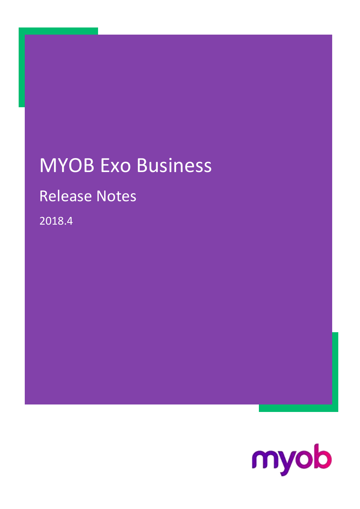## MYOB Exo Business

## Release Notes

2018.4

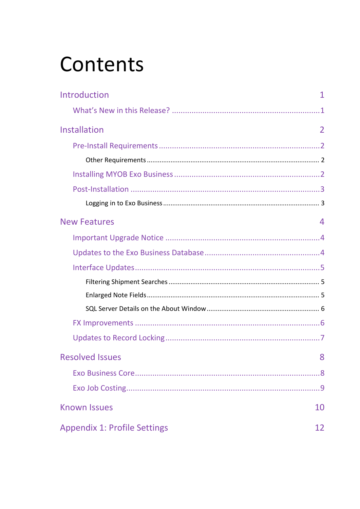# Contents

| Introduction                        | 1              |
|-------------------------------------|----------------|
|                                     |                |
| Installation                        | $\overline{2}$ |
|                                     |                |
|                                     |                |
|                                     |                |
|                                     |                |
|                                     |                |
| <b>New Features</b>                 | 4              |
|                                     |                |
|                                     |                |
|                                     |                |
|                                     |                |
|                                     |                |
|                                     |                |
|                                     |                |
|                                     |                |
| <b>Resolved Issues</b>              | 8              |
|                                     |                |
|                                     |                |
| <b>Known Issues</b>                 | 10             |
| <b>Appendix 1: Profile Settings</b> | 12             |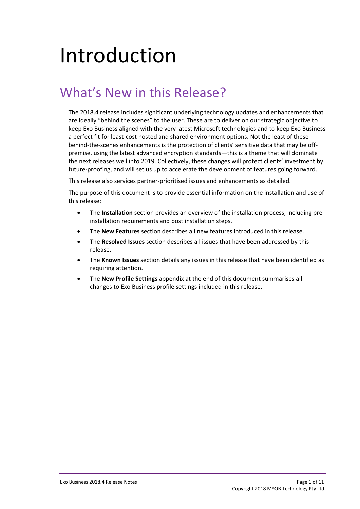# <span id="page-2-0"></span>Introduction

## <span id="page-2-1"></span>What's New in this Release?

The 2018.4 release includes significant underlying technology updates and enhancements that are ideally "behind the scenes" to the user. These are to deliver on our strategic objective to keep Exo Business aligned with the very latest Microsoft technologies and to keep Exo Business a perfect fit for least-cost hosted and shared environment options. Not the least of these behind-the-scenes enhancements is the protection of clients' sensitive data that may be offpremise, using the latest advanced encryption standards—this is a theme that will dominate the next releases well into 2019. Collectively, these changes will protect clients' investment by future-proofing, and will set us up to accelerate the development of features going forward.

This release also services partner-prioritised issues and enhancements as detailed.

The purpose of this document is to provide essential information on the installation and use of this release:

- The **Installation** section provides an overview of the installation process, including preinstallation requirements and post installation steps.
- The **New Features** section describes all new features introduced in this release.
- The **Resolved Issues** section describes all issues that have been addressed by this release.
- The **Known Issues** section details any issues in this release that have been identified as requiring attention.
- The **New Profile Settings** appendix at the end of this document summarises all changes to Exo Business profile settings included in this release.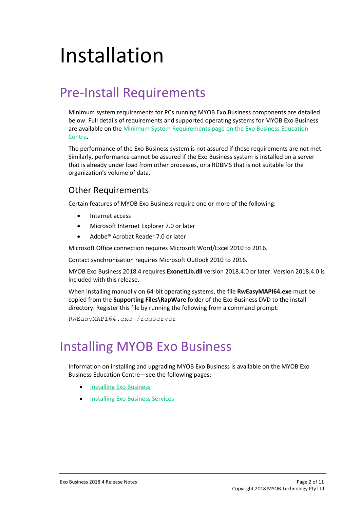# <span id="page-3-0"></span>Installation

## <span id="page-3-1"></span>Pre-Install Requirements

Minimum system requirements for PCs running MYOB Exo Business components are detailed below. Full details of requirements and supported operating systems for MYOB Exo Business are available on the [Minimum System Requirements page on the Exo Business Education](http://help.myob.com.au/exo/sysreqs.htm)  [Centre.](http://help.myob.com.au/exo/sysreqs.htm)

The performance of the Exo Business system is not assured if these requirements are not met. Similarly, performance cannot be assured if the Exo Business system is installed on a server that is already under load from other processes, or a RDBMS that is not suitable for the organization's volume of data.

### <span id="page-3-2"></span>Other Requirements

Certain features of MYOB Exo Business require one or more of the following:

- Internet access
- Microsoft Internet Explorer 7.0 or later
- Adobe® Acrobat Reader 7.0 or later

Microsoft Office connection requires Microsoft Word/Excel 2010 to 2016.

Contact synchronisation requires Microsoft Outlook 2010 to 2016.

MYOB Exo Business 2018.4 requires **ExonetLib.dll** version 2018.4.0 or later. Version 2018.4.0 is included with this release.

When installing manually on 64-bit operating systems, the file **RwEasyMAPI64.exe** must be copied from the **Supporting Files\RapWare** folder of the Exo Business DVD to the install directory. Register this file by running the following from a command prompt:

RwEasyMAPI64.exe /regserver

## <span id="page-3-3"></span>Installing MYOB Exo Business

Information on installing and upgrading MYOB Exo Business is available on the MYOB Exo Business Education Centre—see the following pages:

- [Installing Exo Business](http://help.myob.com.au/exo/installexobusiness.htm)
- **[Installing Exo Business Services](http://help.myob.com.au/exo/installexobusinessservices.htm)**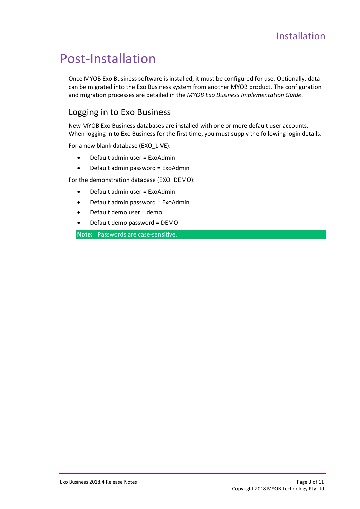## <span id="page-4-0"></span>Post-Installation

Once MYOB Exo Business software is installed, it must be configured for use. Optionally, data can be migrated into the Exo Business system from another MYOB product. The configuration and migration processes are detailed in the *MYOB Exo Business Implementation Guide*.

### <span id="page-4-1"></span>Logging in to Exo Business

New MYOB Exo Business databases are installed with one or more default user accounts. When logging in to Exo Business for the first time, you must supply the following login details.

For a new blank database (EXO\_LIVE):

- Default admin user = ExoAdmin
- Default admin password = ExoAdmin

For the demonstration database (EXO\_DEMO):

- Default admin user = ExoAdmin
- Default admin password = ExoAdmin
- Default demo user = demo
- Default demo password = DEMO

**Note:** Passwords are case-sensitive.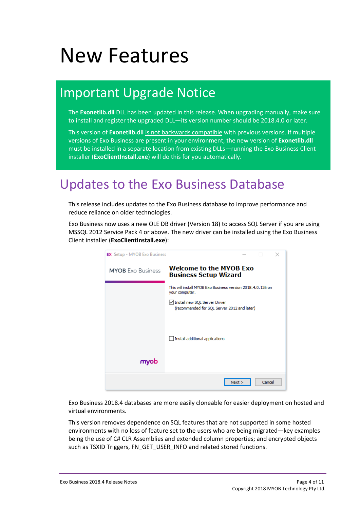# <span id="page-5-0"></span>New Features

## <span id="page-5-1"></span>Important Upgrade Notice

The **Exonetlib.dll** DLL has been updated in this release. When upgrading manually, make sure to install and register the upgraded DLL—its version number should be 2018.4.0 or later.

This version of **Exonetlib.dll** is not backwards compatible with previous versions. If multiple versions of Exo Business are present in your environment, the new version of **Exonetlib.dll** must be installed in a separate location from existing DLLs—running the Exo Business Client installer (**ExoClientInstall.exe**) will do this for you automatically.

## <span id="page-5-2"></span>Updates to the Exo Business Database

This release includes updates to the Exo Business database to improve performance and reduce reliance on older technologies.

Exo Business now uses a new OLE DB driver (Version 18) to access SQL Server if you are using MSSQL 2012 Service Pack 4 or above. The new driver can be installed using the Exo Business Client installer (**ExoClientInstall.exe**):

| <b>EX</b> Setup - MYOB Exo Business | ×                                                                             |
|-------------------------------------|-------------------------------------------------------------------------------|
| <b>MYOB</b> Exo Business            | <b>Welcome to the MYOB Exo</b><br><b>Business Setup Wizard</b>                |
|                                     | This will install MYOB Exo Business version 2018.4.0.126 on<br>your computer. |
|                                     | Install new SQL Server Driver<br>(recommended for SQL Server 2012 and later)  |
|                                     | Install additional applications                                               |
| myob                                |                                                                               |
|                                     | Cancel<br>Next                                                                |

Exo Business 2018.4 databases are more easily cloneable for easier deployment on hosted and virtual environments.

This version removes dependence on SQL features that are not supported in some hosted environments with no loss of feature set to the users who are being migrated—key examples being the use of C# CLR Assemblies and extended column properties; and encrypted objects such as TSXID Triggers, FN\_GET\_USER\_INFO and related stored functions.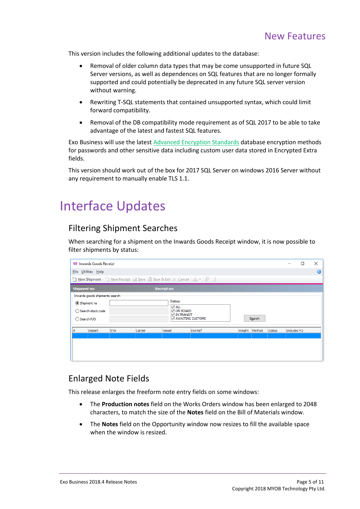This version includes the following additional updates to the database:

- Removal of older column data types that may be come unsupported in future SQL Server versions, as well as dependences on SQL features that are no longer formally supported and could potentially be deprecated in any future SQL server version without warning.
- Rewriting T-SQL statements that contained unsupported syntax, which could limit forward compatibility.
- Removal of the DB compatibility mode requirement as of SQL 2017 to be able to take advantage of the latest and fastest SQL features.

Exo Business will use the lates[t Advanced Encryption Standards](https://aesencryption.net/) database encryption methods for passwords and other sensitive data including custom user data stored in Encrypted Extra fields.

This version should work out of the box for 2017 SQL Server on windows 2016 Server without any requirement to manually enable TLS 1.1.

## <span id="page-6-0"></span>Interface Updates

### <span id="page-6-1"></span>Filtering Shipment Searches

When searching for a shipment on the Inwards Goods Receipt window, it is now possible to filter shipments by status:

|                                                                                               | <b>EB</b> Inwards Goods Receipt                                |            |         |                                                                                           |                |  |               |               |             | п | $\times$ |
|-----------------------------------------------------------------------------------------------|----------------------------------------------------------------|------------|---------|-------------------------------------------------------------------------------------------|----------------|--|---------------|---------------|-------------|---|----------|
|                                                                                               | File Utilities Help                                            |            |         |                                                                                           |                |  |               |               | a           |   |          |
|                                                                                               | New Shipment   New Receipt   Save   Save & Exit X Cancel   1 - |            |         |                                                                                           |                |  |               |               |             |   |          |
|                                                                                               | <b>Shipment no:</b>                                            |            |         | <b>Receipt no:</b>                                                                        |                |  |               |               |             |   |          |
| Inwards goods shipments search<br>Shipment no<br>◯ Search stock code<br>$\bigcirc$ Search P/O |                                                                |            |         | Status:<br>$\vee$ ALL<br>$\vee$ ON BOARD<br>$\vee$ IN TRANSIT<br><b>ZAWAITING CUSTOMS</b> |                |  | Search        |               |             |   |          |
| #                                                                                             | Depart                                                         | <b>ETA</b> | Carrier | Vessel                                                                                    | <b>Ext Ref</b> |  | Weight Method | <b>Status</b> | Includes PO |   |          |
|                                                                                               |                                                                |            |         |                                                                                           |                |  |               |               |             |   |          |

### <span id="page-6-2"></span>Enlarged Note Fields

This release enlarges the freeform note entry fields on some windows:

- The **Production notes** field on the Works Orders window has been enlarged to 2048 characters, to match the size of the **Notes** field on the Bill of Materials window.
- The **Notes** field on the Opportunity window now resizes to fill the available space when the window is resized.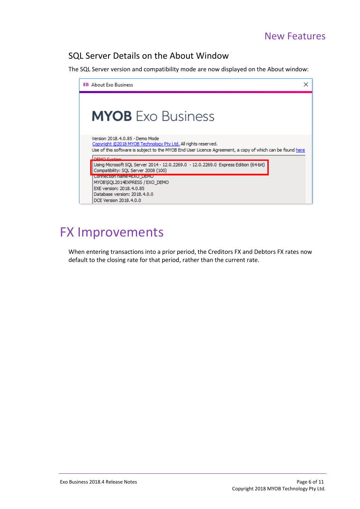### <span id="page-7-0"></span>SQL Server Details on the About Window

The SQL Server version and compatibility mode are now displayed on the About window:

<span id="page-7-2"></span>

## <span id="page-7-1"></span>FX Improvements

When entering transactions into a prior period, the Creditors FX and Debtors FX rates now default to the closing rate for that period, rather than the current rate.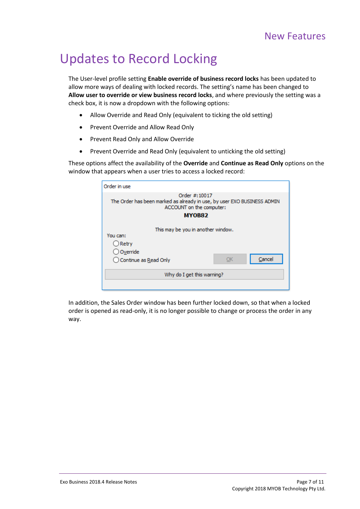## <span id="page-8-0"></span>Updates to Record Locking

The User-level profile setting **Enable override of business record locks** has been updated to allow more ways of dealing with locked records. The setting's name has been changed to **Allow user to override or view business record locks**, and where previously the setting was a check box, it is now a dropdown with the following options:

- Allow Override and Read Only (equivalent to ticking the old setting)
- Prevent Override and Allow Read Only
- Prevent Read Only and Allow Override
- Prevent Override and Read Only (equivalent to unticking the old setting)

These options affect the availability of the **Override** and **Continue as Read Only** options on the window that appears when a user tries to access a locked record:

| Order in use                                                                                                                           |        |  |  |  |  |
|----------------------------------------------------------------------------------------------------------------------------------------|--------|--|--|--|--|
| Order #: 10017<br>The Order has been marked as already in use, by user EXO BUSINESS ADMIN<br>ACCOUNT on the computer:<br><b>MY0B82</b> |        |  |  |  |  |
| This may be you in another window.<br>You can:                                                                                         |        |  |  |  |  |
| $\bigcirc$ Retry                                                                                                                       |        |  |  |  |  |
| ○ Override                                                                                                                             |        |  |  |  |  |
| ОΚ<br>◯ Continue as Read Only                                                                                                          | Cancel |  |  |  |  |
| Why do I get this warning?                                                                                                             |        |  |  |  |  |
|                                                                                                                                        |        |  |  |  |  |

In addition, the Sales Order window has been further locked down, so that when a locked order is opened as read-only, it is no longer possible to change or process the order in any way.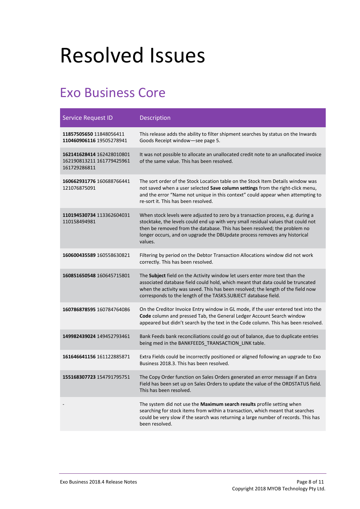# <span id="page-9-0"></span>Resolved Issues

## <span id="page-9-1"></span>Exo Business Core

| <b>Service Request ID</b>                                              | Description                                                                                                                                                                                                                                                                                                                               |
|------------------------------------------------------------------------|-------------------------------------------------------------------------------------------------------------------------------------------------------------------------------------------------------------------------------------------------------------------------------------------------------------------------------------------|
| 11857505650 11848056411<br>110460906116 19505278941                    | This release adds the ability to filter shipment searches by status on the Inwards<br>Goods Receipt window-see page 5.                                                                                                                                                                                                                    |
| 162141628414 162428010801<br>162190813211 161779425961<br>161729286811 | It was not possible to allocate an unallocated credit note to an unallocated invoice<br>of the same value. This has been resolved.                                                                                                                                                                                                        |
| 160662931776 160688766441<br>121076875091                              | The sort order of the Stock Location table on the Stock Item Details window was<br>not saved when a user selected Save column settings from the right-click menu,<br>and the error "Name not unique in this context" could appear when attempting to<br>re-sort it. This has been resolved.                                               |
| 110194530734 113362604031<br>110158494981                              | When stock levels were adjusted to zero by a transaction process, e.g. during a<br>stocktake, the levels could end up with very small residual values that could not<br>then be removed from the database. This has been resolved; the problem no<br>longer occurs, and on upgrade the DBUpdate process removes any historical<br>values. |
| 160600435589 160558630821                                              | Filtering by period on the Debtor Transaction Allocations window did not work<br>correctly. This has been resolved.                                                                                                                                                                                                                       |
| 160851650548 160645715801                                              | The Subject field on the Activity window let users enter more text than the<br>associated database field could hold, which meant that data could be truncated<br>when the activity was saved. This has been resolved; the length of the field now<br>corresponds to the length of the TASKS.SUBJECT database field.                       |
| 160786878595 160784764086                                              | On the Creditor Invoice Entry window in GL mode, if the user entered text into the<br>Code column and pressed Tab, the General Ledger Account Search window<br>appeared but didn't search by the text in the Code column. This has been resolved.                                                                                         |
| 149982439024 149452793461                                              | Bank Feeds bank reconciliations could go out of balance, due to duplicate entries<br>being med in the BANKFEEDS_TRANSACTION_LINK table.                                                                                                                                                                                                   |
| 161646641156 161122885871                                              | Extra Fields could be incorrectly positioned or aligned following an upgrade to Exo<br>Business 2018.3. This has been resolved.                                                                                                                                                                                                           |
| 155168307723 154791795751                                              | The Copy Order function on Sales Orders generated an error message if an Extra<br>Field has been set up on Sales Orders to update the value of the ORDSTATUS field.<br>This has been resolved.                                                                                                                                            |
|                                                                        | The system did not use the Maximum search results profile setting when<br>searching for stock items from within a transaction, which meant that searches<br>could be very slow if the search was returning a large number of records. This has<br>been resolved.                                                                          |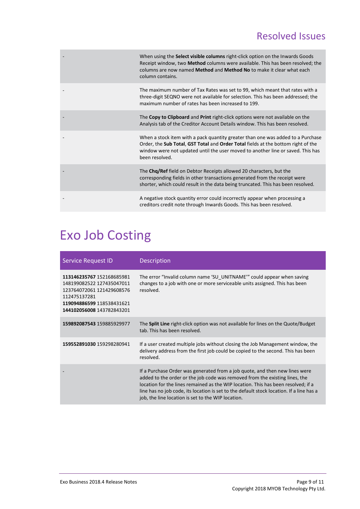### Resolved Issues

| When using the Select visible columns right-click option on the Inwards Goods<br>Receipt window, two Method columns were available. This has been resolved; the<br>columns are now named Method and Method No to make it clear what each<br>column contains.              |
|---------------------------------------------------------------------------------------------------------------------------------------------------------------------------------------------------------------------------------------------------------------------------|
| The maximum number of Tax Rates was set to 99, which meant that rates with a<br>three-digit SEQNO were not available for selection. This has been addressed; the<br>maximum number of rates has been increased to 199.                                                    |
| The Copy to Clipboard and Print right-click options were not available on the<br>Analysis tab of the Creditor Account Details window. This has been resolved.                                                                                                             |
| When a stock item with a pack quantity greater than one was added to a Purchase<br>Order, the Sub Total, GST Total and Order Total fields at the bottom right of the<br>window were not updated until the user moved to another line or saved. This has<br>been resolved. |
| The Chg/Ref field on Debtor Receipts allowed 20 characters, but the<br>corresponding fields in other transactions generated from the receipt were<br>shorter, which could result in the data being truncated. This has been resolved.                                     |
| A negative stock quantity error could incorrectly appear when processing a<br>creditors credit note through Inwards Goods. This has been resolved.                                                                                                                        |

## <span id="page-10-0"></span>Exo Job Costing

| Service Request ID                                                                                                                                            | <b>Description</b>                                                                                                                                                                                                                                                                                                                                                                                |
|---------------------------------------------------------------------------------------------------------------------------------------------------------------|---------------------------------------------------------------------------------------------------------------------------------------------------------------------------------------------------------------------------------------------------------------------------------------------------------------------------------------------------------------------------------------------------|
| 113146235767 152168685981<br>148199082522 127435047011<br>123764072061 121429608576<br>112475137281<br>119094886599 118538431621<br>144102056008 143782843201 | The error "Invalid column name 'SU_UNITNAME'" could appear when saving<br>changes to a job with one or more serviceable units assigned. This has been<br>resolved.                                                                                                                                                                                                                                |
| 159892087543 159885929977                                                                                                                                     | The <b>Split Line</b> right-click option was not available for lines on the Quote/Budget<br>tab. This has been resolved.                                                                                                                                                                                                                                                                          |
| 159552891030 159298280941                                                                                                                                     | If a user created multiple jobs without closing the Job Management window, the<br>delivery address from the first job could be copied to the second. This has been<br>resolved.                                                                                                                                                                                                                   |
|                                                                                                                                                               | If a Purchase Order was generated from a job quote, and then new lines were<br>added to the order or the job code was removed from the existing lines, the<br>location for the lines remained as the WIP location. This has been resolved; if a<br>line has no job code, its location is set to the default stock location. If a line has a<br>job, the line location is set to the WIP location. |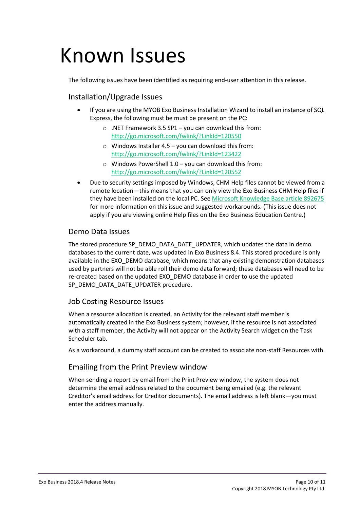# <span id="page-11-0"></span>Known Issues

The following issues have been identified as requiring end-user attention in this release.

#### Installation/Upgrade Issues

- If you are using the MYOB Exo Business Installation Wizard to install an instance of SQL Express, the following must be must be present on the PC:
	- o .NET Framework 3.5 SP1 you can download this from: <http://go.microsoft.com/fwlink/?LinkId=120550>
	- $\circ$  Windows Installer 4.5 you can download this from: <http://go.microsoft.com/fwlink/?LinkId=123422>
	- $\circ$  Windows PowerShell 1.0 you can download this from: <http://go.microsoft.com/fwlink/?LinkId=120552>
- Due to security settings imposed by Windows, CHM Help files cannot be viewed from a remote location—this means that you can only view the Exo Business CHM Help files if they have been installed on the local PC. Se[e Microsoft Knowledge Base article 892675](http://support.microsoft.com/kb/892675/) for more information on this issue and suggested workarounds. (This issue does not apply if you are viewing online Help files on the Exo Business Education Centre.)

#### Demo Data Issues

The stored procedure SP\_DEMO\_DATA\_DATE\_UPDATER, which updates the data in demo databases to the current date, was updated in Exo Business 8.4. This stored procedure is only available in the EXO\_DEMO database, which means that any existing demonstration databases used by partners will not be able roll their demo data forward; these databases will need to be re-created based on the updated EXO\_DEMO database in order to use the updated SP\_DEMO\_DATA\_DATE\_UPDATER procedure.

#### Job Costing Resource Issues

When a resource allocation is created, an Activity for the relevant staff member is automatically created in the Exo Business system; however, if the resource is not associated with a staff member, the Activity will not appear on the Activity Search widget on the Task Scheduler tab.

As a workaround, a dummy staff account can be created to associate non-staff Resources with.

#### Emailing from the Print Preview window

When sending a report by email from the Print Preview window, the system does not determine the email address related to the document being emailed (e.g. the relevant Creditor's email address for Creditor documents). The email address is left blank—you must enter the address manually.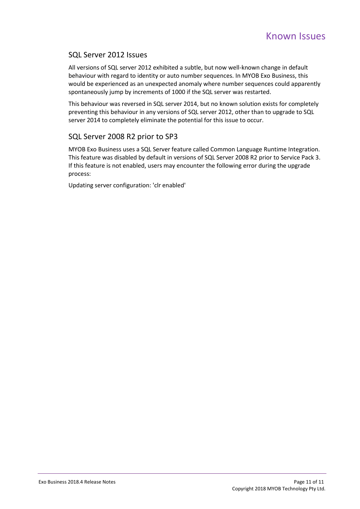#### SQL Server 2012 Issues

All versions of SQL server 2012 exhibited a subtle, but now well-known change in default behaviour with regard to identity or auto number sequences. In MYOB Exo Business, this would be experienced as an unexpected anomaly where number sequences could apparently spontaneously jump by increments of 1000 if the SQL server was restarted.

This behaviour was reversed in SQL server 2014, but no known solution exists for completely preventing this behaviour in any versions of SQL server 2012, other than to upgrade to SQL server 2014 to completely eliminate the potential for this issue to occur.

#### SQL Server 2008 R2 prior to SP3

MYOB Exo Business uses a SQL Server feature called Common Language Runtime Integration. This feature was disabled by default in versions of SQL Server 2008 R2 prior to Service Pack 3. If this feature is not enabled, users may encounter the following error during the upgrade process:

Updating server configuration: 'clr enabled'